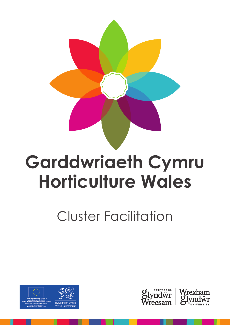

# **Garddwriaeth Cymru Horticulture Wales**

Cluster Facilitation





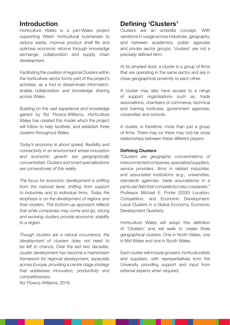# **Introduction**

Horticulture Wales is a pan-Wales project supporting Welsh horticultural businesses to reduce waste, improve product shelf life and optimise economic returns through knowledge exchange, collaboration and supply chain development.

Facilitating the creation of regional Clusters within the horticulture sector forms part of the project's activities, as a tool to disseminate information, enable collaboration and knowledge sharing across Wales.

Building on the vast experience and knowledge gained by Ifor Ffowcs-Williams, Horticulture Wales has created this model which the project will follow to help facilitate, and establish three clusters throughout Wales.

*Today's economy is about speed, flexibility and connectivity in an environment where innovation and economic growth are geographically concentrated. Clusters and smart specialisations are cornerstones of this reality.* 

*The focus for economic development is shifting from the national level, shifting from support to industries and to individual firms. Today the emphasis is on the development of regions and their clusters. This bottom-up approach reflects that while companies may come and go, strong and evolving clusters provide economic stability to a region.* 

*Though clusters are a natural occurrence, the development of clusters does not need to be left to chance. Over the last two decades, cluster development has become a mainstream framework for regional development, especially across Europe, providing a centre stage strategy that addresses innovation, productivity and competitiveness.* 

Ifor Ffowcs-Williams, 2018.

# **Defining 'Clusters'**

Clusters are an umbrella concept. With variations in usage across industries, geography, and between academics, public agencies and private sector groups, 'clusters' are not a precisely defined term.

At its simplest level, a cluster is a group of firms that are operating in the same sector and are in close geographical proximity to each other.

A cluster may also have access to a range of support organisations such as, trade associations, chambers of commerce, technical and training institutes, government agencies, universities and schools.

A cluster, is therefore, more than just a group of firms. There may (or there may not) be close relationships between these different players.

#### **Defining Clusters**

*"Clusters are geographic concentrations of interconnected companies, specialized suppliers, service providers, firms in related industries, and associated institutions (e.g., universities, standards agencies, trade associations) in a particular field that compete but also cooperate."*  Professor Michael E. Porter (2000) Location, Competition, and Economic Development: Local Clusters in a Global Economy, Economic Development Quarterly.

Horticulture Wales will adopt this definition of 'Clusters' and will seek to create three geographical clusters. One in North Wales, one in Mid Wales and one in South Wales.

Each cluster will include growers, horticulturalists and suppliers, with representatives from the University providing support and input from external experts when required.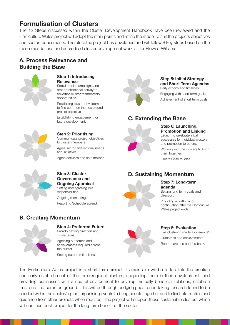# **Formulisation of Clusters**

The 12 Steps discussed within the Cluster Development Handbook have been reviewed and the Horticulture Wales project will adopt the main points and refine the model to suit the projects objectives and sector requirements. Therefore the project has developed and will follow 8 key steps based on the recommendations and accredited cluster development work of Ifor Ffowcs-Williams:

# **A. Process Relevance and Building the Base**



#### **Step 1: Introducing Relevance**

Social media campaigns and other promotional activity to advertise cluster membership opportunities.

Positioning cluster development to find common themes around project objectives.

Establishing engagement for future development.

#### **Step 2: Prioritising**

Communicate project objectives to cluster members

Agree sector and regional needs and initiatives.

Agree activities and set timelines.



#### **Step 5: Initial Strategy and Short Term Agendas**  Early actions and timelines.

Engaging with short term goals. Achievement of short term goals.

# **C. Extending the Base**



#### **Step 6: Launching, Promotion and Linking** Launch to celebrate initial

successes for individual clusters and promotion to others.

Working with the clusters to bring them together.

Create Case studies.

# **D. Sustaining Momentum**



### **Step 7: Long-term agenda**

Setting long term goals and direction.

Providing a platform for continuation after the Horticulture Wales project ends.

## **Step 8: Evaluation**

Has clustering made a difference? Outcomes and achievements. Reports created and fed back.



#### **Step 3: Cluster Governance and Ongoing Appraisal**  Setting and agreeing role

responsibilities.

Ongoing monitoring. Reporting Schedule agreed.

# **B. Creating Momentum**



#### **Step 4: Preferred Future** Broadly setting direction and

cluster aims.

Agreeing outcomes and achievements required across the cluster. Setting outcome timelines.

The Horticulture Wales project is a short term project, its main aim will be to facilitate the creation and early establishment of the three regional clusters, supporting them in their development, and providing businesses with a neutral environment to develop mutually beneficial relations, establish trust and find common ground. This will be through bridging gaps, undertaking research found to be needed within the sector/region, organising events to bring people together and to find information and guidance from other projects when required. The project will support these sustainable clusters which will continue post-project for the long term benefit of the sector.